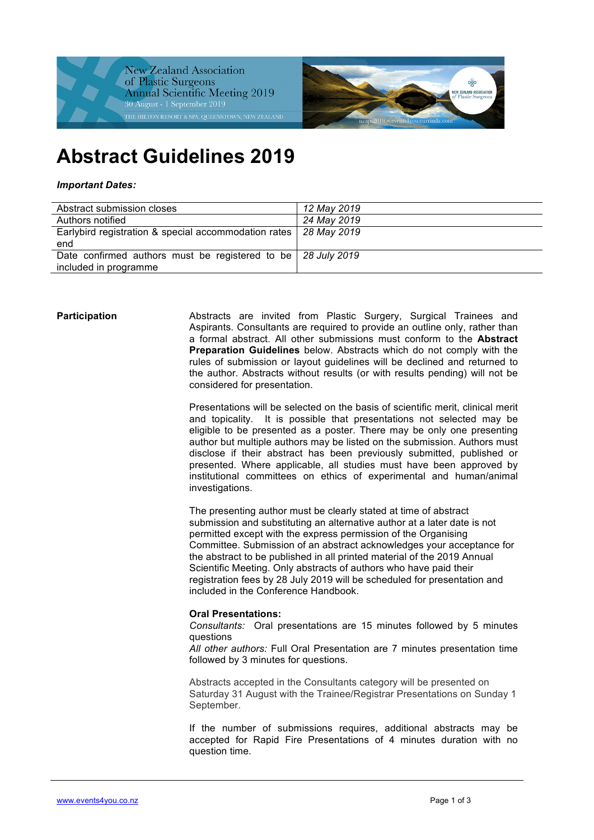



# **Abstract Guidelines 2019**

#### *Important Dates:*

| Abstract submission closes                                         | 12 May 2019 |
|--------------------------------------------------------------------|-------------|
| Authors notified                                                   | 24 May 2019 |
| Earlybird registration & special accommodation rates   28 May 2019 |             |
| end                                                                |             |
| Date confirmed authors must be registered to be   28 July 2019     |             |
| included in programme                                              |             |

**Participation Abstracts are invited from Plastic Surgery, Surgical Trainees and** Aspirants. Consultants are required to provide an outline only, rather than a formal abstract. All other submissions must conform to the **Abstract Preparation Guidelines** below. Abstracts which do not comply with the rules of submission or layout guidelines will be declined and returned to the author. Abstracts without results (or with results pending) will not be considered for presentation.

> Presentations will be selected on the basis of scientific merit, clinical merit and topicality. It is possible that presentations not selected may be eligible to be presented as a poster. There may be only one presenting author but multiple authors may be listed on the submission. Authors must disclose if their abstract has been previously submitted, published or presented. Where applicable, all studies must have been approved by institutional committees on ethics of experimental and human/animal investigations.

The presenting author must be clearly stated at time of abstract submission and substituting an alternative author at a later date is not permitted except with the express permission of the Organising Committee. Submission of an abstract acknowledges your acceptance for the abstract to be published in all printed material of the 2019 Annual Scientific Meeting. Only abstracts of authors who have paid their registration fees by 28 July 2019 will be scheduled for presentation and included in the Conference Handbook.

#### **Oral Presentations:**

*Consultants:* Oral presentations are 15 minutes followed by 5 minutes questions

*All other authors:* Full Oral Presentation are 7 minutes presentation time followed by 3 minutes for questions.

Abstracts accepted in the Consultants category will be presented on Saturday 31 August with the Trainee/Registrar Presentations on Sunday 1 September.

If the number of submissions requires, additional abstracts may be accepted for Rapid Fire Presentations of 4 minutes duration with no question time.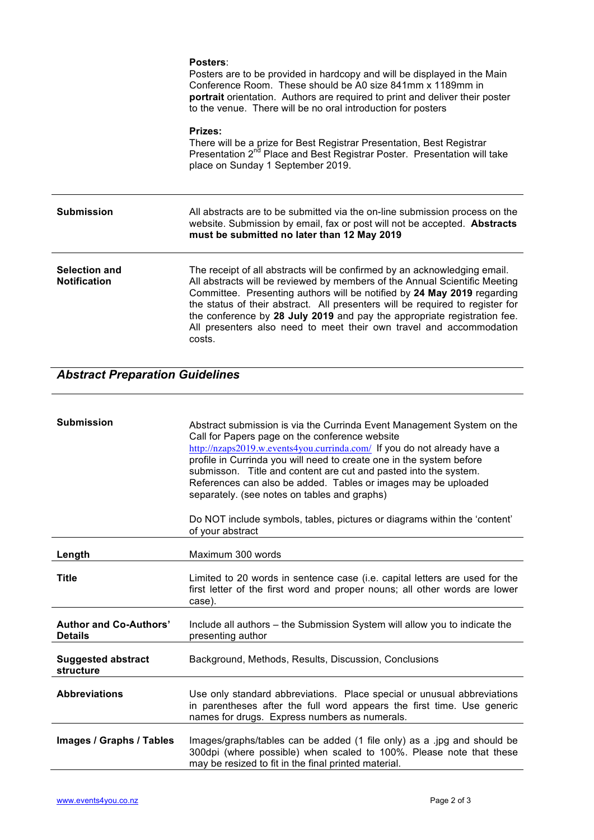|                                      | Posters:<br>Posters are to be provided in hardcopy and will be displayed in the Main<br>Conference Room. These should be A0 size 841mm x 1189mm in<br>portrait orientation. Authors are required to print and deliver their poster<br>to the venue. There will be no oral introduction for posters                                                                                                                                                                               |
|--------------------------------------|----------------------------------------------------------------------------------------------------------------------------------------------------------------------------------------------------------------------------------------------------------------------------------------------------------------------------------------------------------------------------------------------------------------------------------------------------------------------------------|
|                                      | Prizes:<br>There will be a prize for Best Registrar Presentation, Best Registrar<br>Presentation 2 <sup>nd</sup> Place and Best Registrar Poster. Presentation will take<br>place on Sunday 1 September 2019.                                                                                                                                                                                                                                                                    |
| <b>Submission</b>                    | All abstracts are to be submitted via the on-line submission process on the<br>website. Submission by email, fax or post will not be accepted. Abstracts<br>must be submitted no later than 12 May 2019                                                                                                                                                                                                                                                                          |
| Selection and<br><b>Notification</b> | The receipt of all abstracts will be confirmed by an acknowledging email.<br>All abstracts will be reviewed by members of the Annual Scientific Meeting<br>Committee. Presenting authors will be notified by 24 May 2019 regarding<br>the status of their abstract. All presenters will be required to register for<br>the conference by 28 July 2019 and pay the appropriate registration fee.<br>All presenters also need to meet their own travel and accommodation<br>costs. |

## *Abstract Preparation Guidelines*

| <b>Submission</b>                               | Abstract submission is via the Currinda Event Management System on the<br>Call for Papers page on the conference website<br>http://nzaps2019.w.events4you.currinda.com/ If you do not already have a<br>profile in Currinda you will need to create one in the system before<br>submisson. Title and content are cut and pasted into the system.<br>References can also be added. Tables or images may be uploaded<br>separately. (see notes on tables and graphs)<br>Do NOT include symbols, tables, pictures or diagrams within the 'content'<br>of your abstract |
|-------------------------------------------------|---------------------------------------------------------------------------------------------------------------------------------------------------------------------------------------------------------------------------------------------------------------------------------------------------------------------------------------------------------------------------------------------------------------------------------------------------------------------------------------------------------------------------------------------------------------------|
| Length                                          | Maximum 300 words                                                                                                                                                                                                                                                                                                                                                                                                                                                                                                                                                   |
| <b>Title</b>                                    | Limited to 20 words in sentence case (i.e. capital letters are used for the<br>first letter of the first word and proper nouns; all other words are lower<br>case).                                                                                                                                                                                                                                                                                                                                                                                                 |
| <b>Author and Co-Authors'</b><br><b>Details</b> | Include all authors – the Submission System will allow you to indicate the<br>presenting author                                                                                                                                                                                                                                                                                                                                                                                                                                                                     |
| <b>Suggested abstract</b><br>structure          | Background, Methods, Results, Discussion, Conclusions                                                                                                                                                                                                                                                                                                                                                                                                                                                                                                               |
| <b>Abbreviations</b>                            | Use only standard abbreviations. Place special or unusual abbreviations<br>in parentheses after the full word appears the first time. Use generic<br>names for drugs. Express numbers as numerals.                                                                                                                                                                                                                                                                                                                                                                  |
| Images / Graphs / Tables                        | Images/graphs/tables can be added (1 file only) as a .jpg and should be<br>300dpi (where possible) when scaled to 100%. Please note that these<br>may be resized to fit in the final printed material.                                                                                                                                                                                                                                                                                                                                                              |